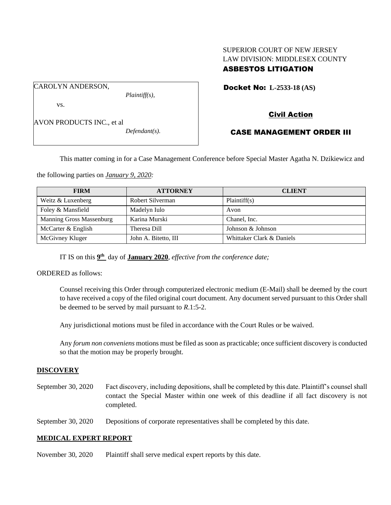# SUPERIOR COURT OF NEW JERSEY LAW DIVISION: MIDDLESEX COUNTY ASBESTOS LITIGATION

Docket No: **L-2533-18 (AS)** 

vs.

CAROLYN ANDERSON,

AVON PRODUCTS INC., et al

*Defendant(s).*

*Plaintiff(s),*

# Civil Action

## CASE MANAGEMENT ORDER III

This matter coming in for a Case Management Conference before Special Master Agatha N. Dzikiewicz and

the following parties on *January 9, 2020:*

| <b>FIRM</b>              | <b>ATTORNEY</b>      | <b>CLIENT</b>             |
|--------------------------|----------------------|---------------------------|
| Weitz & Luxenberg        | Robert Silverman     | Plaintiff(s)              |
| Foley & Mansfield        | Madelyn Iulo         | Avon                      |
| Manning Gross Massenburg | Karina Murski        | Chanel, Inc.              |
| McCarter & English       | Theresa Dill         | Johnson & Johnson         |
| McGivney Kluger          | John A. Bitetto, III | Whittaker Clark & Daniels |

IT IS on this  $9<sup>th</sup>$  day of **January 2020**, *effective from the conference date*;

ORDERED as follows:

Counsel receiving this Order through computerized electronic medium (E-Mail) shall be deemed by the court to have received a copy of the filed original court document. Any document served pursuant to this Order shall be deemed to be served by mail pursuant to *R*.1:5-2.

Any jurisdictional motions must be filed in accordance with the Court Rules or be waived.

Any *forum non conveniens* motions must be filed as soon as practicable; once sufficient discovery is conducted so that the motion may be properly brought.

## **DISCOVERY**

September 30, 2020 Fact discovery, including depositions, shall be completed by this date. Plaintiff's counsel shall contact the Special Master within one week of this deadline if all fact discovery is not completed.

September 30, 2020 Depositions of corporate representatives shall be completed by this date.

## **MEDICAL EXPERT REPORT**

November 30, 2020 Plaintiff shall serve medical expert reports by this date.